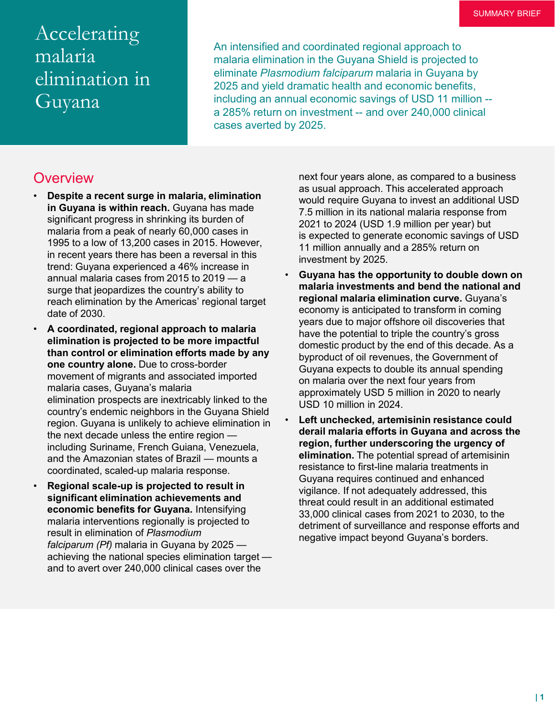# Accelerating malaria elimination in Guyana

An intensified and coordinated regional approach to malaria elimination in the Guyana Shield is projected to eliminate *Plasmodium falciparum* malaria in Guyana by 2025 and yield dramatic health and economic benefits, including an annual economic savings of USD 11 million - a 285% return on investment -- and over 240,000 clinical cases averted by 2025.

#### **Overview**

- **Despite a recent surge in malaria, elimination in Guyana is within reach.** Guyana has made significant progress in shrinking its burden of malaria from a peak of nearly 60,000 cases in 1995 to a low of 13,200 cases in 2015. However, in recent years there has been a reversal in this trend: Guyana experienced a 46% increase in annual malaria cases from 2015 to 2019 — a surge that jeopardizes the country's ability to reach elimination by the Americas' regional target date of 2030.
- **A coordinated, regional approach to malaria elimination is projected to be more impactful than control or elimination efforts made by any one country alone.** Due to cross-border movement of migrants and associated imported malaria cases, Guyana's malaria elimination prospects are inextricably linked to the country's endemic neighbors in the Guyana Shield region. Guyana is unlikely to achieve elimination in the next decade unless the entire region including Suriname, French Guiana, Venezuela, and the Amazonian states of Brazil — mounts a coordinated, scaled-up malaria response.
- **Regional scale-up is projected to result in significant elimination achievements and economic benefits for Guyana.** Intensifying malaria interventions regionally is projected to result in elimination of *Plasmodium falciparum (Pf)* malaria in Guyana by 2025 achieving the national species elimination target and to avert over 240,000 clinical cases over the

next four years alone, as compared to a business as usual approach. This accelerated approach would require Guyana to invest an additional USD 7.5 million in its national malaria response from 2021 to 2024 (USD 1.9 million per year) but is expected to generate economic savings of USD 11 million annually and a 285% return on investment by 2025.

- **Guyana has the opportunity to double down on malaria investments and bend the national and regional malaria elimination curve.** Guyana's economy is anticipated to transform in coming years due to major offshore oil discoveries that have the potential to triple the country's gross domestic product by the end of this decade. As a byproduct of oil revenues, the Government of Guyana expects to double its annual spending on malaria over the next four years from approximately USD 5 million in 2020 to nearly USD 10 million in 2024.
- **Left unchecked, artemisinin resistance could derail malaria efforts in Guyana and across the region, further underscoring the urgency of elimination.** The potential spread of artemisinin resistance to first-line malaria treatments in Guyana requires continued and enhanced vigilance. If not adequately addressed, this threat could result in an additional estimated 33,000 clinical cases from 2021 to 2030, to the detriment of surveillance and response efforts and negative impact beyond Guyana's borders.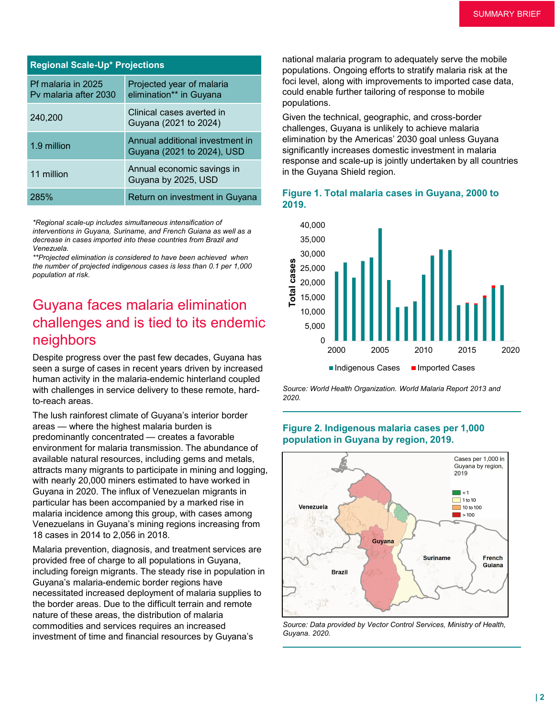| <b>Regional Scale-Up* Projections</b>       |                                                               |
|---------------------------------------------|---------------------------------------------------------------|
| Pf malaria in 2025<br>Py malaria after 2030 | Projected year of malaria<br>elimination** in Guyana          |
| 240,200                                     | Clinical cases averted in<br>Guyana (2021 to 2024)            |
| 1.9 million                                 | Annual additional investment in<br>Guyana (2021 to 2024), USD |
| 11 million                                  | Annual economic savings in<br>Guyana by 2025, USD             |
| 285%                                        | Return on investment in Guyana                                |

*\*Regional scale-up includes simultaneous intensification of interventions in Guyana, Suriname, and French Guiana as well as a decrease in cases imported into these countries from Brazil and Venezuela.*

*\*\*Projected elimination is considered to have been achieved when the number of projected indigenous cases is less than 0.1 per 1,000 population at risk.*

## Guyana faces malaria elimination challenges and is tied to its endemic neighbors

Despite progress over the past few decades, Guyana has seen a surge of cases in recent years driven by increased human activity in the malaria-endemic hinterland coupled with challenges in service delivery to these remote, hardto-reach areas.

The lush rainforest climate of Guyana's interior border areas — where the highest malaria burden is predominantly concentrated — creates a favorable environment for malaria transmission. The abundance of available natural resources, including gems and metals, attracts many migrants to participate in mining and logging, with nearly 20,000 miners estimated to have worked in Guyana in 2020. The influx of Venezuelan migrants in particular has been accompanied by a marked rise in malaria incidence among this group, with cases among Venezuelans in Guyana's mining regions increasing from 18 cases in 2014 to 2,056 in 2018.

Malaria prevention, diagnosis, and treatment services are provided free of charge to all populations in Guyana, including foreign migrants. The steady rise in population in Guyana's malaria-endemic border regions have necessitated increased deployment of malaria supplies to the border areas. Due to the difficult terrain and remote nature of these areas, the distribution of malaria commodities and services requires an increased investment of time and financial resources by Guyana's

national malaria program to adequately serve the mobile populations. Ongoing efforts to stratify malaria risk at the foci level, along with improvements to imported case data, could enable further tailoring of response to mobile populations.

Given the technical, geographic, and cross-border challenges, Guyana is unlikely to achieve malaria elimination by the Americas' 2030 goal unless Guyana significantly increases domestic investment in malaria response and scale-up is jointly undertaken by all countries in the Guyana Shield region.





*Source: World Health Organization. World Malaria Report 2013 and 2020.*

#### **Figure 2. Indigenous malaria cases per 1,000 population in Guyana by region, 2019.**



*Source: Data provided by Vector Control Services, Ministry of Health, Guyana. 2020.*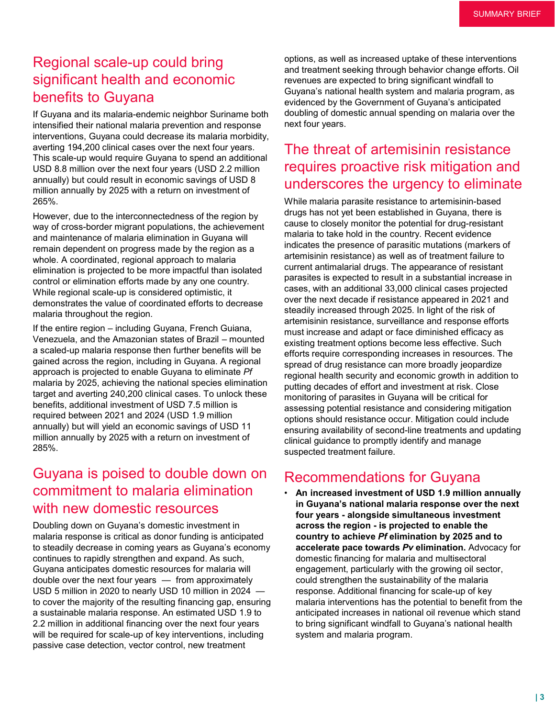# Regional scale-up could bring significant health and economic benefits to Guyana

If Guyana and its malaria-endemic neighbor Suriname both intensified their national malaria prevention and response interventions, Guyana could decrease its malaria morbidity, averting 194,200 clinical cases over the next four years. This scale-up would require Guyana to spend an additional USD 8.8 million over the next four years (USD 2.2 million annually) but could result in economic savings of USD 8 million annually by 2025 with a return on investment of 265%.

However, due to the interconnectedness of the region by way of cross-border migrant populations, the achievement and maintenance of malaria elimination in Guyana will remain dependent on progress made by the region as a whole. A coordinated, regional approach to malaria elimination is projected to be more impactful than isolated control or elimination efforts made by any one country. While regional scale-up is considered optimistic, it demonstrates the value of coordinated efforts to decrease malaria throughout the region.

If the entire region – including Guyana, French Guiana, Venezuela, and the Amazonian states of Brazil – mounted a scaled-up malaria response then further benefits will be gained across the region, including in Guyana. A regional approach is projected to enable Guyana to eliminate *Pf*  malaria by 2025, achieving the national species elimination target and averting 240,200 clinical cases. To unlock these benefits, additional investment of USD 7.5 million is required between 2021 and 2024 (USD 1.9 million annually) but will yield an economic savings of USD 11 million annually by 2025 with a return on investment of 285%.

### Guyana is poised to double down on commitment to malaria elimination with new domestic resources

Doubling down on Guyana's domestic investment in malaria response is critical as donor funding is anticipated to steadily decrease in coming years as Guyana's economy continues to rapidly strengthen and expand. As such, Guyana anticipates domestic resources for malaria will double over the next four years — from approximately USD 5 million in 2020 to nearly USD 10 million in 2024 to cover the majority of the resulting financing gap, ensuring a sustainable malaria response. An estimated USD 1.9 to 2.2 million in additional financing over the next four years will be required for scale-up of key interventions, including passive case detection, vector control, new treatment

options, as well as increased uptake of these interventions and treatment seeking through behavior change efforts. Oil revenues are expected to bring significant windfall to Guyana's national health system and malaria program, as evidenced by the Government of Guyana's anticipated doubling of domestic annual spending on malaria over the next four years.

# The threat of artemisinin resistance requires proactive risk mitigation and underscores the urgency to eliminate

While malaria parasite resistance to artemisinin-based drugs has not yet been established in Guyana, there is cause to closely monitor the potential for drug-resistant malaria to take hold in the country. Recent evidence indicates the presence of parasitic mutations (markers of artemisinin resistance) as well as of treatment failure to current antimalarial drugs. The appearance of resistant parasites is expected to result in a substantial increase in cases, with an additional 33,000 clinical cases projected over the next decade if resistance appeared in 2021 and steadily increased through 2025. In light of the risk of artemisinin resistance, surveillance and response efforts must increase and adapt or face diminished efficacy as existing treatment options become less effective. Such efforts require corresponding increases in resources. The spread of drug resistance can more broadly jeopardize regional health security and economic growth in addition to putting decades of effort and investment at risk. Close monitoring of parasites in Guyana will be critical for assessing potential resistance and considering mitigation options should resistance occur. Mitigation could include ensuring availability of second-line treatments and updating clinical guidance to promptly identify and manage suspected treatment failure.

#### Recommendations for Guyana

• **An increased investment of USD 1.9 million annually in Guyana's national malaria response over the next four years - alongside simultaneous investment across the region - is projected to enable the country to achieve** *Pf* **elimination by 2025 and to accelerate pace towards** *Pv* **elimination.** Advocacy for domestic financing for malaria and multisectoral engagement, particularly with the growing oil sector, could strengthen the sustainability of the malaria response. Additional financing for scale-up of key malaria interventions has the potential to benefit from the anticipated increases in national oil revenue which stand to bring significant windfall to Guyana's national health system and malaria program.